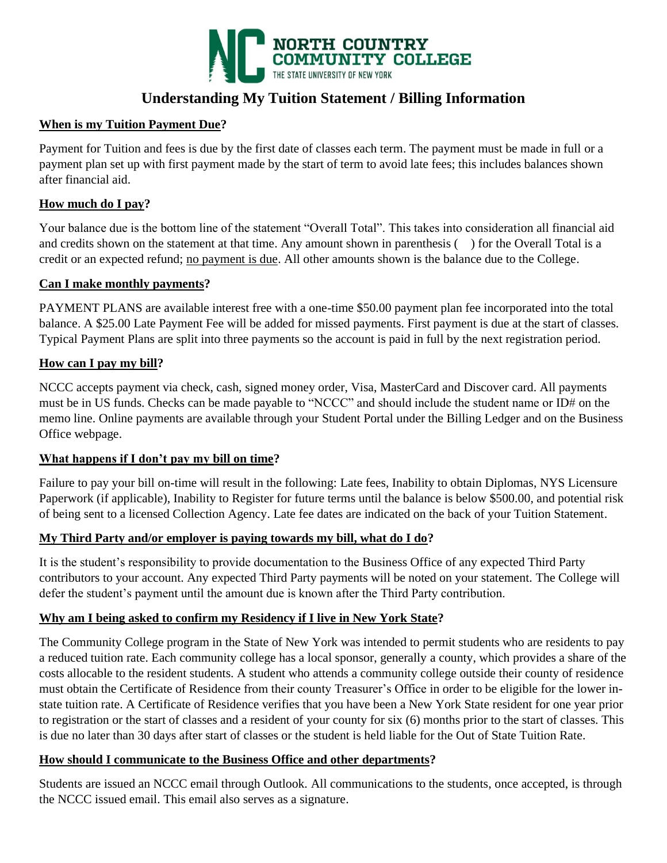

# **Understanding My Tuition Statement / Billing Information**

## **When is my Tuition Payment Due?**

Payment for Tuition and fees is due by the first date of classes each term. The payment must be made in full or a payment plan set up with first payment made by the start of term to avoid late fees; this includes balances shown after financial aid.

## **How much do I pay?**

Your balance due is the bottom line of the statement "Overall Total". This takes into consideration all financial aid and credits shown on the statement at that time. Any amount shown in parenthesis () for the Overall Total is a credit or an expected refund; no payment is due. All other amounts shown is the balance due to the College.

## **Can I make monthly payments?**

PAYMENT PLANS are available interest free with a one-time \$50.00 payment plan fee incorporated into the total balance. A \$25.00 Late Payment Fee will be added for missed payments. First payment is due at the start of classes. Typical Payment Plans are split into three payments so the account is paid in full by the next registration period.

## **How can I pay my bill?**

NCCC accepts payment via check, cash, signed money order, Visa, MasterCard and Discover card. All payments must be in US funds. Checks can be made payable to "NCCC" and should include the student name or ID# on the memo line. Online payments are available through your Student Portal under the Billing Ledger and on the Business Office webpage.

## **What happens if I don't pay my bill on time?**

Failure to pay your bill on-time will result in the following: Late fees, Inability to obtain Diplomas, NYS Licensure Paperwork (if applicable), Inability to Register for future terms until the balance is below \$500.00, and potential risk of being sent to a licensed Collection Agency. Late fee dates are indicated on the back of your Tuition Statement.

## **My Third Party and/or employer is paying towards my bill, what do I do?**

It is the student's responsibility to provide documentation to the Business Office of any expected Third Party contributors to your account. Any expected Third Party payments will be noted on your statement. The College will defer the student's payment until the amount due is known after the Third Party contribution.

## **Why am I being asked to confirm my Residency if I live in New York State?**

The Community College program in the State of New York was intended to permit students who are residents to pay a reduced tuition rate. Each community college has a local sponsor, generally a county, which provides a share of the costs allocable to the resident students. A student who attends a community college outside their county of residence must obtain the Certificate of Residence from their county Treasurer's Office in order to be eligible for the lower instate tuition rate. A Certificate of Residence verifies that you have been a New York State resident for one year prior to registration or the start of classes and a resident of your county for six (6) months prior to the start of classes. This is due no later than 30 days after start of classes or the student is held liable for the Out of State Tuition Rate.

## **How should I communicate to the Business Office and other departments?**

Students are issued an NCCC email through Outlook. All communications to the students, once accepted, is through the NCCC issued email. This email also serves as a signature.